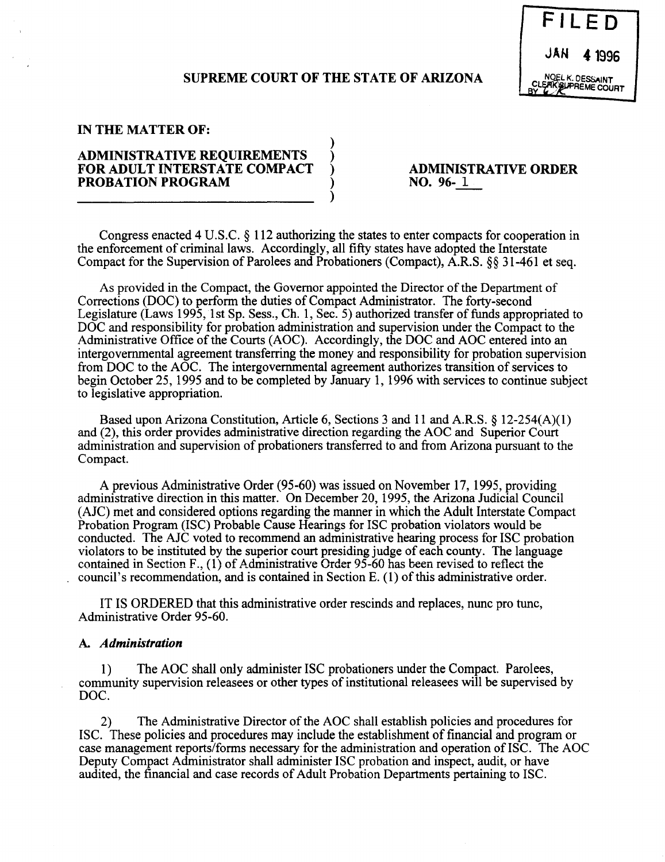## **SUPREME COURT OF THE STATE OF ARIZONA**

)

)



#### **IN THE MATTER OF:**

# **ADMINISTRATIVE REQUIREMENTS** ) **FOR ADULT INTERSTATE COMPACT** ) **PROBATION PROGRAM** )

**ADMINISTRATIVE ORDER NO. 96- 1** 

Congress enacted 4 U.S.C. § 112 authorizing the states to enter compacts for cooperation in the enforcement of criminal laws. Accordingly, all fifty states have adopted the Interstate Compact for the Supervision of Parolees and Probationers (Compact), A.R.S. §§ 31-461 et seq.

As provided in the Compact, the Governor appointed the Director of the Department of Corrections (DOC) to perform the duties of Compact Administrator. The forty-second Legislature (Laws 1995, 1st Sp. Sess., Ch. 1, Sec. 5) authorized transfer of funds appropriated to DOC and responsibility for probation administration and supervision under the Compact to the Administrative Office of the Courts (AOC). Accordingly, the DOC and AOC entered into an intergovernmental agreement transferring the money and responsibility for probation supervision from DOC to the AOC. The intergovernmental agreement authorizes transition of services to begin October 25, 1995 and to be completed by January 1, 1996 with services to continue subject to legislative appropriation.

Based upon Arizona Constitution, Article 6, Sections 3 and 11 and A.R.S. § 12-254(A)(I) and (2), this order provides administrative direction regarding the AOC and Superior Court administration and supervision of probationers transferred to and from Arizona pursuant to the Compact.

A previous Administrative Order (95-60) was issued on November 17, 1995, providing administrative direction in this matter. On December 20, 1995, the Arizona Judicial Council (AlC) met and considered options regarding the manner in which the Adult Interstate Compact Probation Program (ISC) Probable Cause Hearings for ISC probation violators would be conducted. The AlC voted to recommend an administrative hearing process for ISC probation violators to be instituted by the superior court presiding judge of each county. The language contained in Section F., (1) of Administrative Order 95-60 has been revised to reflect the council's recommendation, and is contained in Section E. (1) of this administrative order.

IT IS ORDERED that this administrative order rescinds and replaces, nunc pro tunc, Administrative Order 95-60.

### A. *Administration*

1) The AOC shall only administer ISC probationers under the Compact. Parolees, community supervision releasees or other types of institutional releasees will be supervised by DOC.

2) The Administrative Director of the AOC shall establish policies and procedures for ISC. These policies and procedures may include the establishment of financial and program or case management reports/forms necessary for the administration and operation of ISC. The AOC Deputy Compact Administrator shall administer ISC probation and inspect, audit, or have audited, the financial and case records of Adult Probation Departments pertaining to ISC.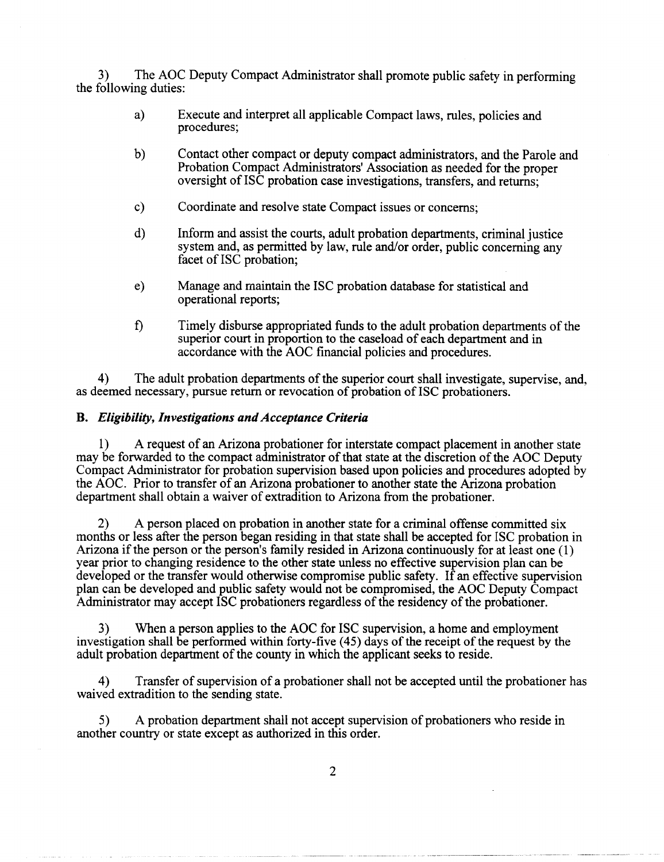3) The AOC Deputy Compact Administrator shall promote public safety in performing the following duties:

- a) Execute and interpret all applicable Compact laws, rules, policies and procedures;
- b) Contact other compact or deputy compact administrators, and the Parole and Probation Compact Administrators' Association as needed for the proper oversight of ISC probation case investigations, transfers, and returns;
- c) Coordinate and resolve state Compact issues or concerns;
- d) Inform and assist the courts, adult probation departments, criminal justice system and, as permitted by law, rule and/or order, public concerning any facet of ISC probation;
- e) Manage and maintain the ISC probation database for statistical and operational reports;
- f) Timely disburse appropriated funds to the adult probation departments of the superior court in proportion to the caseload of each department and in accordance with the AOC financial policies and procedures.

4) The adult probation departments of the superior court shall investigate, supervise, and, as deemed necessary, pursue return or revocation of probation of ISC probationers.

#### B. *Eligibility, Investigations and Acceptance Criteria*

1) A request of an Arizona probationer for interstate compact placement in another state may be forwarded to the compact administrator of that state at the discretion of the AOC Deputy Compact Administrator for probation supervision based upon policies and procedures adopted by the AOC. Prior to transfer of an Arizona probationer to another state the Arizona probation department shall obtain a waiver of extradition to Arizona from the probationer.

2) A person placed on probation in another state for a criminal offense committed six months or less after the person began residing in that state shall be accepted for ISC probation in Arizona if the person or the person's family resided in Arizona continuously for at least one (1) year prior to changing residence to the other state unless no effective supervision plan can be developed or the transfer would otherwise compromise public safety. If an effective supervision plan can be developed and public safety would not be compromised, the AOC Deputy Compact Administrator may accept ISC probationers regardless of the residency of the probationer.

3) When a person applies to the AOC for ISC supervision, a home and employment investigation shall be performed within forty-five (45) days of the receipt of the request by the adult probation department of the county in which the applicant seeks to reside.

4) Transfer of supervision of a probationer shall not be accepted until the probationer has waived extradition to the sending state.

5) A probation department shall not accept supervision of probationers who reside in another country or state except as authorized in this order.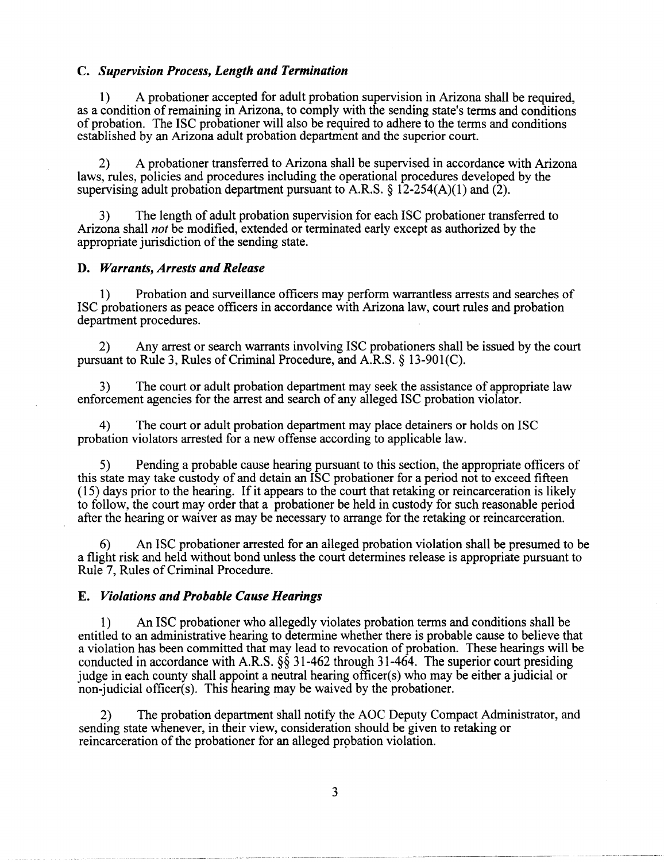#### C. *Supervision Process, Length and Termination*

1) A probationer accepted for adult probation supervision in Arizona shall be required, as a condition of remaining in Arizona, to comply with the sending state's terms and conditions of probation. The ISC probationer will also be required to adhere to the terms and conditions established by an Arizona adult probation department and the superior court.

2) A probationer transferred to Arizona shall be supervised in accordance with Arizona laws, rules, policies and procedures including the operational procedures developed by the supervising adult probation department pursuant to A.R.S.  $\S$  12-254(A)(1) and (2).

3) The length of adult probation supervision for each ISC probationer transferred to Arizona shall *not* be modified, extended or terminated early except as authorized by the appropriate jurisdiction of the sending state.

#### D. *Warrants, Arrests and Release*

1) Probation and surveillance officers may perform warrantless arrests and searches of ISC probationers as peace officers in accordance with Arizona law, court rules and probation department procedures.

2) Any arrest or search warrants involving ISC probationers shall be issued by the court pursuant to Rule 3, Rules of Criminal Procedure, and A.R.S. § 13-901(C).

The court or adult probation department may seek the assistance of appropriate law enforcement agencies for the arrest and search of any alleged ISC probation violator.

4) The court or adult probation department may place detainers or holds on ISC probation violators arrested for a new offense according to applicable law.

5) Pending a probable cause hearing pursuant to this section, the appropriate officers of this state may take custody of and detain an ISC probationer for a period not to exceed fifteen (15) days prior to the hearing. If it appears to the court that retaking or reincarceration is likely to follow, the court may order that a probationer be held in custody for such reasonable period after the hearing or waiver as may be necessary to arrange for the retaking or reincarceration.

6) An ISC probationer arrested for an alleged probation violation shall be presumed to be a flight risk and held without bond unless the court determines release is appropriate pursuant to Rule 7, Rules of Criminal Procedure.

#### E. *Violations and Probable Cause Hearings*

1) An ISC probationer who allegedly violates probation terms and conditions shall be entitled to an administrative hearing to determine whether there is probable cause to believe that a violation has been committed that may lead to revocation of probation. These hearings will be conducted in accordance with A.R.S.  $\S$ § 31-462 through 31-464. The superior court presiding judge in each county shall appoint a neutral hearing officer(s) who may be either a judicial or non-judicial officer(s). This hearing may be waived by the probationer.

2) The probation department shall notify the AOC Deputy Compact Administrator, and sending state whenever, in their view, consideration should be given to retaking or reincarceration of the probationer for an alleged probation violation.

3

----~----------~~- --